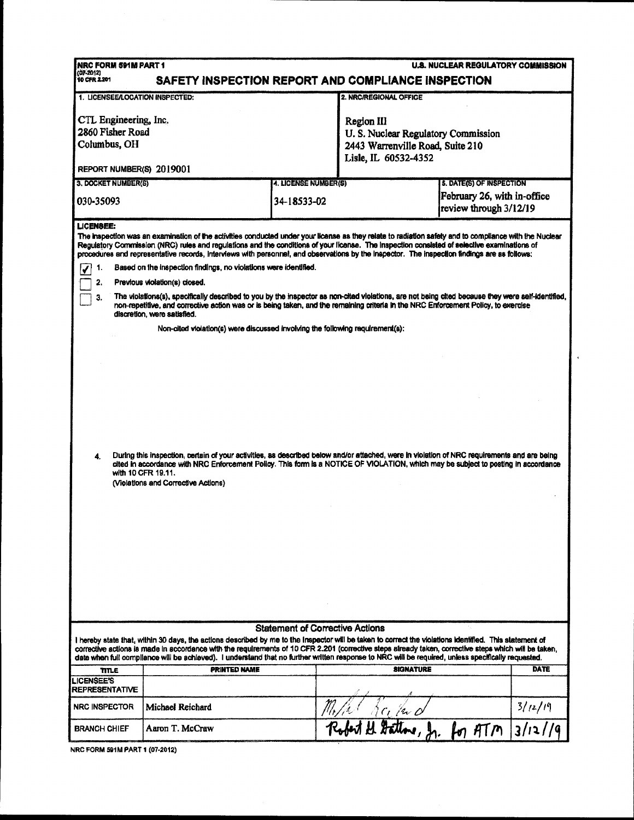| NRC FORM 591M PART 1<br><b>U.S. NUCLEAR REGULATORY COMMISSION</b>                                                                                                                                                                                                                                                                                                                                                                                                                                                                      |                                                                               |                                        |                                                                                      |                                                       |                           |  |  |  |
|----------------------------------------------------------------------------------------------------------------------------------------------------------------------------------------------------------------------------------------------------------------------------------------------------------------------------------------------------------------------------------------------------------------------------------------------------------------------------------------------------------------------------------------|-------------------------------------------------------------------------------|----------------------------------------|--------------------------------------------------------------------------------------|-------------------------------------------------------|---------------------------|--|--|--|
| $(07-2012)$<br>10 CFR 2.201<br>SAFETY INSPECTION REPORT AND COMPLIANCE INSPECTION                                                                                                                                                                                                                                                                                                                                                                                                                                                      |                                                                               |                                        |                                                                                      |                                                       |                           |  |  |  |
| 1. LICENSEE/LOCATION INSPECTED:                                                                                                                                                                                                                                                                                                                                                                                                                                                                                                        |                                                                               |                                        | 2. NRC/REGIONAL OFFICE                                                               |                                                       |                           |  |  |  |
| CTL Engineering, Inc.<br>2860 Fisher Road<br>Columbus, OH                                                                                                                                                                                                                                                                                                                                                                                                                                                                              |                                                                               |                                        | Region III<br>U.S. Nuclear Regulatory Commission<br>2443 Warrenville Road, Suite 210 |                                                       |                           |  |  |  |
| Lisle, IL 60532-4352<br>REPORT NUMBER(S) 2019001                                                                                                                                                                                                                                                                                                                                                                                                                                                                                       |                                                                               |                                        |                                                                                      |                                                       |                           |  |  |  |
| 3. DOCKET NUMBER(S)                                                                                                                                                                                                                                                                                                                                                                                                                                                                                                                    |                                                                               | 4. LICENSE NUMBER(S)                   |                                                                                      | <b>5. DATE(S) OF INSPECTION</b>                       |                           |  |  |  |
| 030-35093                                                                                                                                                                                                                                                                                                                                                                                                                                                                                                                              |                                                                               | 34-18533-02                            |                                                                                      | February 26, with in-office<br>review through 3/12/19 |                           |  |  |  |
| LICENSEE:<br>The inspection was an examination of the activities conducted under your license as they relate to radiation safety and to compliance with the Nuclear<br>Regulatory Commission (NRC) rules and regulations and the conditions of your license. The Inspection consisted of selective examinations of<br>procedures and representative records, interviews with personnel, and observations by the inspector. The inspection findings are as follows:<br>Based on the inspection findings, no violations were identified. |                                                                               |                                        |                                                                                      |                                                       |                           |  |  |  |
| -1.                                                                                                                                                                                                                                                                                                                                                                                                                                                                                                                                    |                                                                               |                                        |                                                                                      |                                                       |                           |  |  |  |
| 2.<br>Previous violation(s) closed.<br>The violations(s), specifically described to you by the inspector as non-cited violations, are not being cited because they were self-identified,<br>З.<br>non-repetitive, and corrective action was or is being taken, and the remaining criteria in the NRC Enforcement Policy, to exercise<br>discretion, were satisfied.                                                                                                                                                                    |                                                                               |                                        |                                                                                      |                                                       |                           |  |  |  |
|                                                                                                                                                                                                                                                                                                                                                                                                                                                                                                                                        | Non-cited violation(s) were discussed involving the following requirement(s): |                                        |                                                                                      |                                                       |                           |  |  |  |
| During this inspection, certain of your activities, as described below and/or attached, were in violation of NRC requirements and are being<br>4.<br>cited in accordance with NRC Enforcement Policy. This form is a NOTICE OF VIOLATION, which may be subject to posting in accordance<br>with 10 CFR 19.11.<br>(Violations and Corrective Actions)                                                                                                                                                                                   |                                                                               |                                        |                                                                                      |                                                       |                           |  |  |  |
|                                                                                                                                                                                                                                                                                                                                                                                                                                                                                                                                        |                                                                               | <b>Statement of Corrective Actions</b> |                                                                                      |                                                       |                           |  |  |  |
| I hereby state that, within 30 days, the actions described by me to the Inspector will be taken to correct the violations identified. This statement of<br>corrective actions is made in accordance with the requirements of 10 CFR 2.201 (corrective steps already taken, corrective steps which will be taken,<br>date when full compliance will be achieved). I understand that no further written response to NRC will be required, unless specifically requested.                                                                 |                                                                               |                                        |                                                                                      |                                                       |                           |  |  |  |
| <b>TITLE</b>                                                                                                                                                                                                                                                                                                                                                                                                                                                                                                                           | <b>PRINTED NAME</b>                                                           |                                        | <b>SIGNATURE</b>                                                                     |                                                       | <b>DATE</b>               |  |  |  |
| <b>LICENSEE'S</b><br><b>REPRESENTATIVE</b>                                                                                                                                                                                                                                                                                                                                                                                                                                                                                             |                                                                               |                                        |                                                                                      |                                                       |                           |  |  |  |
| NRC INSPECTOR                                                                                                                                                                                                                                                                                                                                                                                                                                                                                                                          | Michael Reichard                                                              |                                        |                                                                                      |                                                       |                           |  |  |  |
| <b>BRANCH CHIEF</b>                                                                                                                                                                                                                                                                                                                                                                                                                                                                                                                    | Aaron T. McCraw                                                               |                                        | and the factor of the for ATM                                                        |                                                       | $\frac{3/12/19}{3/12/19}$ |  |  |  |
| NRC FORM 591M PART 1 (07-2012)                                                                                                                                                                                                                                                                                                                                                                                                                                                                                                         |                                                                               |                                        |                                                                                      |                                                       |                           |  |  |  |

 $\epsilon$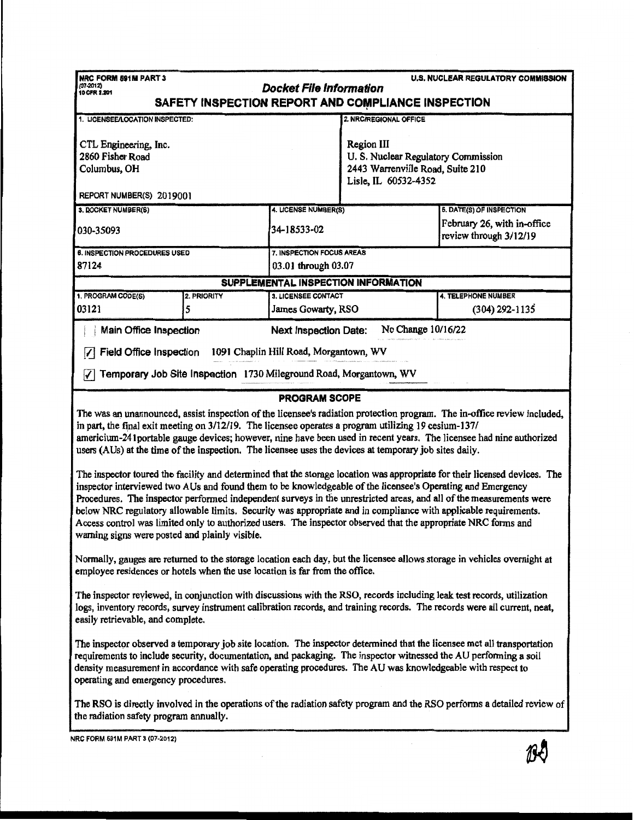| NRC FORM 591M PART 3<br>$(07 - 2012)$                                                                                                                                                                                                                                                                                                                                                                                                                                                                                                                                                                                                                  | <b>Docket File Information</b>         |                                                                                                              | U.S. NUCLEAR REGULATORY COMMISSION                    |  |  |  |  |  |
|--------------------------------------------------------------------------------------------------------------------------------------------------------------------------------------------------------------------------------------------------------------------------------------------------------------------------------------------------------------------------------------------------------------------------------------------------------------------------------------------------------------------------------------------------------------------------------------------------------------------------------------------------------|----------------------------------------|--------------------------------------------------------------------------------------------------------------|-------------------------------------------------------|--|--|--|--|--|
| 10 CFR 2.201<br>SAFETY INSPECTION REPORT AND COMPLIANCE INSPECTION                                                                                                                                                                                                                                                                                                                                                                                                                                                                                                                                                                                     |                                        |                                                                                                              |                                                       |  |  |  |  |  |
| 1. LICENSEE/LOCATION INSPECTED:                                                                                                                                                                                                                                                                                                                                                                                                                                                                                                                                                                                                                        |                                        | 2. NRC/REGIONAL OFFICE                                                                                       |                                                       |  |  |  |  |  |
| CTL Engineering, Inc.<br>2860 Fisher Road<br>Columbus, OH<br>REPORT NUMBER(S) 2019001                                                                                                                                                                                                                                                                                                                                                                                                                                                                                                                                                                  |                                        | Region III<br>U.S. Nuclear Regulatory Commission<br>2443 Warrenville Road, Suite 210<br>Lisle, IL 60532-4352 |                                                       |  |  |  |  |  |
| 3. DOCKET NUMBER(S)                                                                                                                                                                                                                                                                                                                                                                                                                                                                                                                                                                                                                                    | 4. LICENSE NUMBER(S)                   |                                                                                                              | <b>6. DATE(S) OF INSPECTION</b>                       |  |  |  |  |  |
| 030-35093                                                                                                                                                                                                                                                                                                                                                                                                                                                                                                                                                                                                                                              | 34-18533-02                            |                                                                                                              | February 26, with in-office<br>review through 3/12/19 |  |  |  |  |  |
| 6. INSPECTION PROCEDURES USED                                                                                                                                                                                                                                                                                                                                                                                                                                                                                                                                                                                                                          | 7. INSPECTION FOCUS AREAS              |                                                                                                              |                                                       |  |  |  |  |  |
| 87124<br>03.01 through 03.07<br>SUPPLEMENTAL INSPECTION INFORMATION                                                                                                                                                                                                                                                                                                                                                                                                                                                                                                                                                                                    |                                        |                                                                                                              |                                                       |  |  |  |  |  |
| 1. PROGRAM CODE(S)<br>2. PRIORITY                                                                                                                                                                                                                                                                                                                                                                                                                                                                                                                                                                                                                      | 3. LICENSEE CONTACT                    |                                                                                                              | 4. TELEPHONE NUMBER                                   |  |  |  |  |  |
| 03121<br>5                                                                                                                                                                                                                                                                                                                                                                                                                                                                                                                                                                                                                                             | James Gowarty, RSO                     |                                                                                                              | $(304)$ 292-1135                                      |  |  |  |  |  |
| Main Office Inspection                                                                                                                                                                                                                                                                                                                                                                                                                                                                                                                                                                                                                                 | <b>Next Inspection Date:</b>           | No Change 10/16/22                                                                                           |                                                       |  |  |  |  |  |
| Field Office Inspection<br>✓                                                                                                                                                                                                                                                                                                                                                                                                                                                                                                                                                                                                                           | 1091 Chaplin Hill Road, Morgantown, WV |                                                                                                              |                                                       |  |  |  |  |  |
| Temporary Job Site Inspection 1730 Mileground Road, Morgantown, WV<br>∀                                                                                                                                                                                                                                                                                                                                                                                                                                                                                                                                                                                |                                        |                                                                                                              |                                                       |  |  |  |  |  |
|                                                                                                                                                                                                                                                                                                                                                                                                                                                                                                                                                                                                                                                        | <b>PROGRAM SCOPE</b>                   |                                                                                                              |                                                       |  |  |  |  |  |
| The was an unannounced, assist inspection of the licensee's radiation protection program. The in-office review included,<br>in part, the final exit meeting on 3/12/19. The licensee operates a program utilizing 19 cesium-137/<br>americium-241 portable gauge devices; however, nine have been used in recent years. The licensee had nine authorized<br>users (AUs) at the time of the inspection. The licensee uses the devices at temporary job sites daily.                                                                                                                                                                                     |                                        |                                                                                                              |                                                       |  |  |  |  |  |
| The inspector toured the facility and determined that the storage location was appropriate for their licensed devices. The<br>inspector interviewed two AUs and found them to be knowledgeable of the licensee's Operating and Emergency<br>Procedures. The inspector performed independent surveys in the unrestricted areas, and all of the measurements were<br>below NRC regulatory allowable limits. Security was appropriate and in compliance with applicable requirements.<br>Access control was limited only to authorized users. The inspector observed that the appropriate NRC forms and<br>warning signs were posted and plainly visible. |                                        |                                                                                                              |                                                       |  |  |  |  |  |
| Normally, gauges are returned to the storage location each day, but the licensee allows storage in vehicles overnight at<br>employee residences or hotels when the use location is far from the office.                                                                                                                                                                                                                                                                                                                                                                                                                                                |                                        |                                                                                                              |                                                       |  |  |  |  |  |
| The inspector reviewed, in conjunction with discussions with the RSO, records including leak test records, utilization<br>logs, inventory records, survey instrument calibration records, and training records. The records were all current, neat,<br>easily retrievable, and complete.                                                                                                                                                                                                                                                                                                                                                               |                                        |                                                                                                              |                                                       |  |  |  |  |  |
| The inspector observed a temporary job site location. The inspector determined that the licensee met all transportation<br>requirements to include security, documentation, and packaging. The inspector witnessed the AU performing a soil<br>density measurement in accordance with safe operating procedures. The AU was knowledgeable with respect to<br>operating and emergency procedures.                                                                                                                                                                                                                                                       |                                        |                                                                                                              |                                                       |  |  |  |  |  |
| The RSO is directly involved in the operations of the radiation safety program and the RSO performs a detailed review of<br>the radiation safety program annually.                                                                                                                                                                                                                                                                                                                                                                                                                                                                                     |                                        |                                                                                                              |                                                       |  |  |  |  |  |
| NRC FORM 591M PART 3 (07-2012)                                                                                                                                                                                                                                                                                                                                                                                                                                                                                                                                                                                                                         |                                        |                                                                                                              |                                                       |  |  |  |  |  |